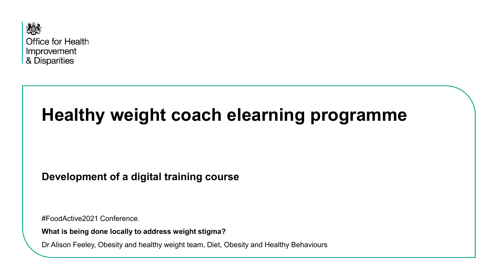

# **Healthy weight coach elearning programme**

**Development of a digital training course**

#FoodActive2021 Conference.

**What is being done locally to address weight stigma?**

Dr Alison Feeley, Obesity and healthy weight team, Diet, Obesity and Healthy Behaviours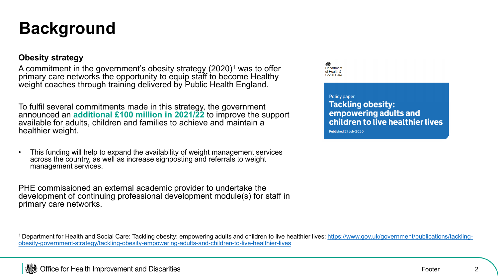## **Background**

### **Obesity strategy**

A commitment in the government's obesity strategy (2020)<sup>1</sup> was to offer primary care networks the opportunity to equip staff to become Healthy weight coaches through training delivered by Public Health England.

To fulfil several commitments made in this strategy, the government announced an **additional £100 million in 2021/22** to improve the support available for adults, children and families to achieve and maintain a healthier weight.

• This funding will help to expand the availability of weight management services across the country, as well as increase signposting and referrals to weight management services.

PHE commissioned an external academic provider to undertake the development of continuing professional development module(s) for staff in primary care networks.

Department of Health & Social Care

#### Policy paper

**Tackling obesity:** empowering adults and children to live healthier lives

Published 27 July 2020

<sup>1</sup> Department for Health and Social Care: Tackling obesity: empowering adults and children to live healthier lives: https://www.gov.uk/government/publications/tackling[obesity-government-strategy/tackling-obesity-empowering-adults-and-children-to-live-healthier-lives](https://www.gov.uk/government/publications/tackling-obesity-government-strategy/tackling-obesity-empowering-adults-and-children-to-live-healthier-lives)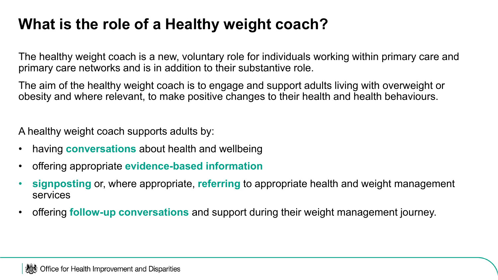## **What is the role of a Healthy weight coach?**

The healthy weight coach is a new, voluntary role for individuals working within primary care and primary care networks and is in addition to their substantive role.

The aim of the healthy weight coach is to engage and support adults living with overweight or obesity and where relevant, to make positive changes to their health and health behaviours.

A healthy weight coach supports adults by:

- having **conversations** about health and wellbeing
- offering appropriate **evidence-based information**
- **signposting** or, where appropriate, **referring** to appropriate health and weight management services
- offering **follow-up conversations** and support during their weight management journey.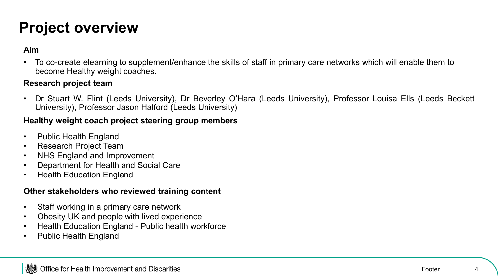## **Project overview**

### **Aim**

• To co-create elearning to supplement/enhance the skills of staff in primary care networks which will enable them to become Healthy weight coaches.

### **Research project team**

• Dr Stuart W. Flint (Leeds University), Dr Beverley O'Hara (Leeds University), Professor Louisa Ells (Leeds Beckett University), Professor Jason Halford (Leeds University)

### **Healthy weight coach project steering group members**

- Public Health England
- Research Project Team
- NHS England and Improvement
- Department for Health and Social Care
- Health Education England

### **Other stakeholders who reviewed training content**

- Staff working in a primary care network
- Obesity UK and people with lived experience
- Health Education England Public health workforce
- Public Health England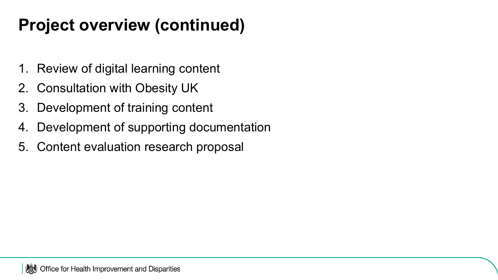## **Project overview (continued)**

- 1. Review of digital learning content
- 2. Consultation with Obesity UK
- 3. Development of training content
- 4. Development of supporting documentation
- 5. Content evaluation research proposal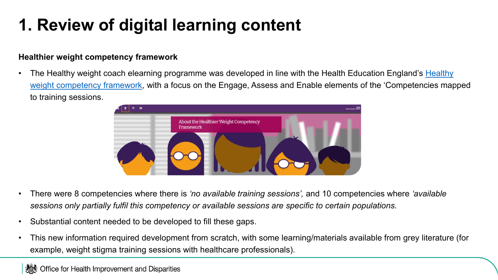## **1. Review of digital learning content**

### **Healthier weight competency framework**

• The Healthy weight coach elearning programme was developed in line with the Health Education England's Healthy weight competency framework[, with a focus on the Engage, Assess and Enable elements of the 'Competencies map](https://portal.e-lfh.org.uk/Component/Details/679019)ped to training sessions.



- There were 8 competencies where there is *'no available training sessions',* and 10 competencies where *'available sessions only partially fulfil this competency or available sessions are specific to certain populations.*
- Substantial content needed to be developed to fill these gaps.
- This new information required development from scratch, with some learning/materials available from grey literature (for example, weight stigma training sessions with healthcare professionals).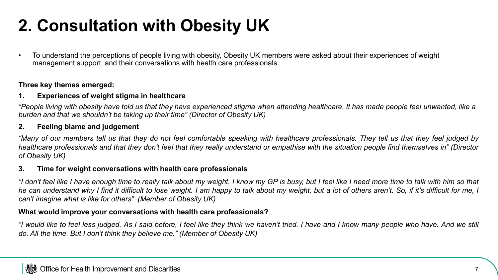## **2. Consultation with Obesity UK**

• To understand the perceptions of people living with obesity, Obesity UK members were asked about their experiences of weight management support, and their conversations with health care professionals.

#### **Three key themes emerged:**

#### **1. Experiences of weight stigma in healthcare**

*"People living with obesity have told us that they have experienced stigma when attending healthcare. It has made people feel unwanted, like a burden and that we shouldn't be taking up their time" (Director of Obesity UK)*

#### **2. Feeling blame and judgement**

"Many of our members tell us that they do not feel comfortable speaking with healthcare professionals. They tell us that they feel judged by healthcare professionals and that they don't feel that they really understand or empathise with the situation people find themselves in" (Director *of Obesity UK)*

#### **3. Time for weight conversations with health care professionals**

"I don't feel like I have enough time to really talk about my weight. I know my GP is busy, but I feel like I need more time to talk with him so that he can understand why I find it difficult to lose weight. I am happy to talk about my weight, but a lot of others aren't. So, if it's difficult for me, I *can't imagine what is like for others" (Member of Obesity UK)*

#### **What would improve your conversations with health care professionals?**

"I would like to feel less judged. As I said before, I feel like they think we haven't tried. I have and I know many people who have. And we still *do. All the time. But I don't think they believe me." (Member of Obesity UK)*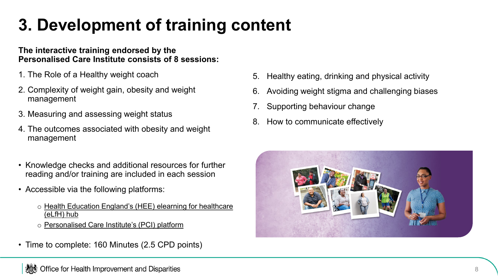## **3. Development of training content**

### **The interactive training endorsed by the Personalised Care Institute consists of 8 sessions:**

- 1. The Role of a Healthy weight coach
- 2. Complexity of weight gain, obesity and weight management
- 3. Measuring and assessing weight status
- 4. The outcomes associated with obesity and weight management
- Knowledge checks and additional resources for further reading and/or training are included in each session
- Accessible via the following platforms:
	- o Health Education England's (HEE) elearning for healthcare (eLfH) hub
	- o Personalised Care Institute's (PCI) platform
- Time to complete: 160 Minutes (2.5 CPD points)
- 5. Healthy eating, drinking and physical activity
- 6. Avoiding weight stigma and challenging biases
- Supporting behaviour change
- 8. How to communicate effectively

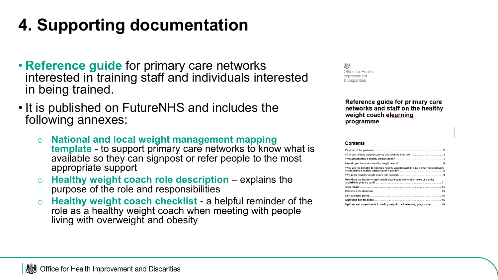# **4. Supporting documentation**

- **Reference guide** for primary care networks interested in training staff and individuals interested in being trained.
- It is published on FutureNHS and includes the following annexes:
	- o **National and local weight management mapping template** - to support primary care networks to know what is available so they can signpost or refer people to the most appropriate support
	- Healthy weight coach role description explains the purpose of the role and responsibilities
	- o **Healthy weight coach checklist**  a helpful reminder of the role as a healthy weight coach when meeting with people living with overweight and obesity

Office for Health Improvement & Disparities

> Reference guide for primary care networks and staff on the healthy weight coach elearning programme

#### Contents

| What are the benefits to having a healthy weight coach in your primary care network |  |
|-------------------------------------------------------------------------------------|--|
|                                                                                     |  |
| How does the healthy weight coach elearning relate to other roles or training       |  |
|                                                                                     |  |
|                                                                                     |  |
|                                                                                     |  |
|                                                                                     |  |
| Updates and amendments to healthy weight coach elearning programme  16              |  |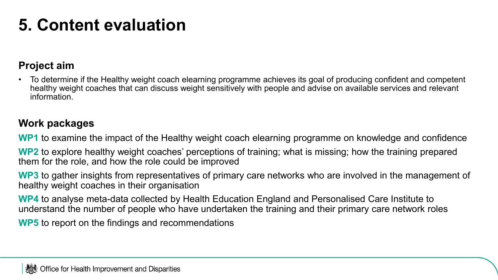## **5. Content evaluation**

## **Project aim**

• To determine if the Healthy weight coach elearning programme achieves its goal of producing confident and competent healthy weight coaches that can discuss weight sensitively with people and advise on available services and relevant information.

## **Work packages**

**WP1** to examine the impact of the Healthy weight coach elearning programme on knowledge and confidence

**WP2** to explore healthy weight coaches' perceptions of training; what is missing; how the training prepared them for the role, and how the role could be improved

**WP3** to gather insights from representatives of primary care networks who are involved in the management of healthy weight coaches in their organisation

**WP4** to analyse meta-data collected by Health Education England and Personalised Care Institute to understand the number of people who have undertaken the training and their primary care network roles

**WP5** to report on the findings and recommendations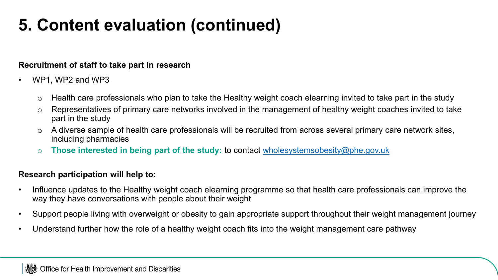## **5. Content evaluation (continued)**

### **Recruitment of staff to take part in research**

- WP1, WP2 and WP3
	- $\circ$  Health care professionals who plan to take the Healthy weight coach elearning invited to take part in the study
	- o Representatives of primary care networks involved in the management of healthy weight coaches invited to take part in the study
	- $\circ$  A diverse sample of health care professionals will be recruited from across several primary care network sites, including pharmacies
	- o **Those interested in being part of the study:** to contact [wholesystemsobesity@phe.gov.uk](mailto:wholesystemsobesity@phe.gov.uk)

### **Research participation will help to:**

- Influence updates to the Healthy weight coach elearning programme so that health care professionals can improve the way they have conversations with people about their weight
- Support people living with overweight or obesity to gain appropriate support throughout their weight management journey
- Understand further how the role of a healthy weight coach fits into the weight management care pathway